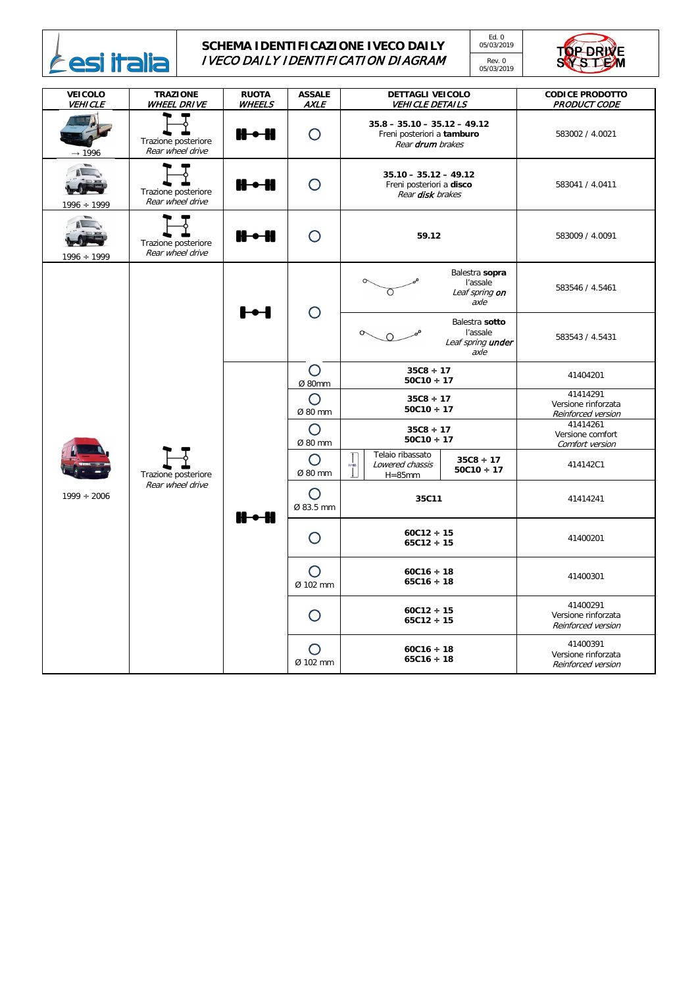

## **SCHEMA IDENTIFICAZIONE IVECO DAILY** IVECO DAILY IDENTIFICATION DIAGRAM

Ed. 0 05/03/2019

Rev. 0 05/03/2019



| <b>VEICOLO</b><br><b>VEHICLE</b> | <b>TRAZIONE</b><br><b>WHEEL DRIVE</b>   | <b>RUOTA</b><br><b>WHEELS</b> | <b>ASSALE</b><br><b>AXLE</b> | <b>DETTAGLI VEICOLO</b><br><b>VEHICLE DETAILS</b>                                |                                                         | <b>CODICE PRODOTTO</b><br><b>PRODUCT CODE</b>         |
|----------------------------------|-----------------------------------------|-------------------------------|------------------------------|----------------------------------------------------------------------------------|---------------------------------------------------------|-------------------------------------------------------|
| $\rightarrow$ 1996               | Trazione posteriore<br>Rear wheel drive | $H - H$                       | $\bigcirc$                   | $35.8 - 35.10 - 35.12 - 49.12$<br>Freni posteriori a tamburo<br>Rear drum brakes |                                                         | 583002 / 4.0021                                       |
| $1996 \div 1999$                 | Trazione posteriore<br>Rear wheel drive | $\mathbf{H}\bullet\mathbf{H}$ | $\bigcirc$                   | $35.10 - 35.12 - 49.12$<br>Freni posteriori a disco<br>Rear disk brakes          |                                                         | 583041 / 4.0411                                       |
| $1996 \div 1999$                 | Trazione posteriore<br>Rear wheel drive | $\mathbf{H}\bullet\mathbf{H}$ | $\bigcap$                    | 59.12                                                                            |                                                         | 583009 / 4.0091                                       |
| $1999 \div 2006$                 | Trazione posteriore<br>Rear wheel drive | $\mathbf{H}$                  | $\bigcirc$                   |                                                                                  | Balestra sopra<br>l'assale<br>Leaf spring on<br>axle    | 583546 / 4.5461                                       |
|                                  |                                         |                               |                              |                                                                                  | Balestra sotto<br>l'assale<br>Leaf spring under<br>axle | 583543 / 4.5431                                       |
|                                  |                                         | $\mathbf{H}\bullet\mathbf{H}$ | $\bigcirc$<br>Ø 80mm         | $35C8 \div 17$<br>$50C10 \div 17$                                                |                                                         | 41404201                                              |
|                                  |                                         |                               | $\bigcirc$<br>Ø 80 mm        | $35C8 \div 17$<br>$50C10 \div 17$                                                |                                                         | 41414291<br>Versione rinforzata<br>Reinforced version |
|                                  |                                         |                               | $\bigcirc$<br>Ø 80 mm        | $35C8 \div 17$<br>$50C10 \div 17$                                                |                                                         | 41414261<br>Versione comfort<br>Comfort version       |
|                                  |                                         |                               | $\bigcirc$<br>Ø 80 mm        | Telaio ribassato<br>$\frac{1}{h=85}$<br>Lowered chassis<br>$H = 85$ mm           | $35C8 \div 17$<br>$50C10 \div 17$                       | 414142C1                                              |
|                                  |                                         |                               | $\bigcirc$<br>Ø 83.5 mm      | 35C11                                                                            |                                                         | 41414241                                              |
|                                  |                                         |                               | $\bigcirc$                   | $60C12 \div 15$<br>$65C12 \div 15$                                               |                                                         | 41400201                                              |
|                                  |                                         |                               | $\bigcap$<br>Ø 102 mm        | $60C16 \div 18$<br>$65C16 \div 18$                                               |                                                         | 41400301                                              |
|                                  |                                         |                               | $\bigcap$                    | $60C12 \div 15$<br>$65C12 \div 15$                                               |                                                         | 41400291<br>Versione rinforzata<br>Reinforced version |
|                                  |                                         |                               | $\bigcap$<br>Ø 102 mm        | $60C16 \div 18$<br>$65C16 \div 18$                                               |                                                         | 41400391<br>Versione rinforzata<br>Reinforced version |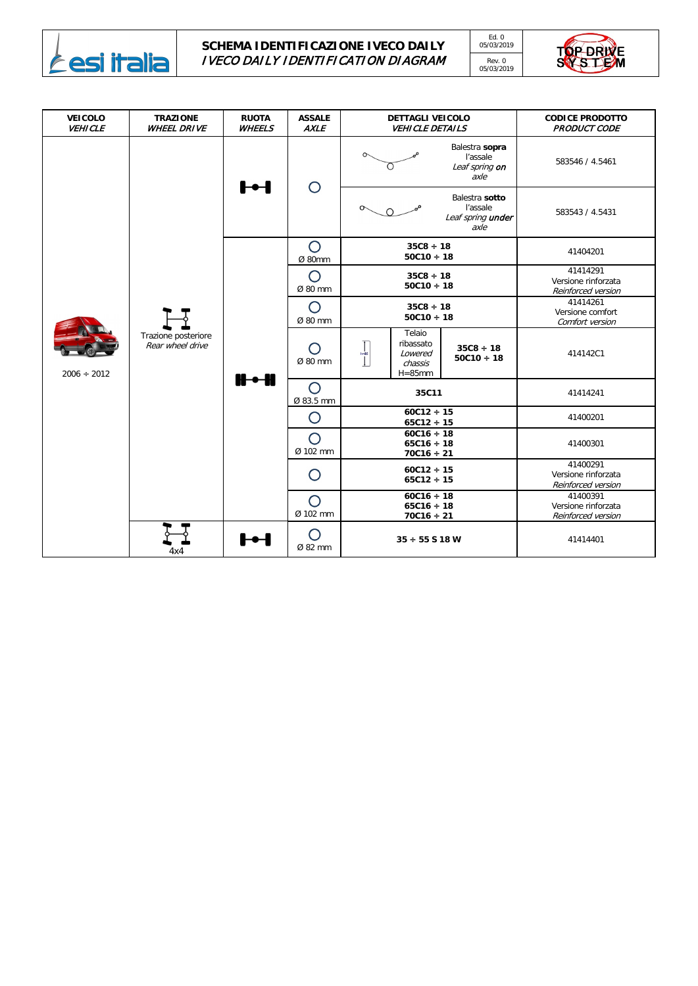

## **SCHEMA IDENTIFICAZIONE IVECO DAILY** IVECO DAILY IDENTIFICATION DIAGRAM

Ed. 0 05/03/2019





| <b>VEICOLO</b><br><b>VEHICLE</b> | <b>TRAZIONE</b><br><b>WHEEL DRIVE</b>   | <b>RUOTA</b><br><b>WHEELS</b> | <b>ASSALE</b><br><b>AXLE</b> | <b>DETTAGLI VEICOLO</b><br><b>VEHICLE DETAILS</b>                                                                       | <b>CODICE PRODOTTO</b><br><b>PRODUCT CODE</b>         |
|----------------------------------|-----------------------------------------|-------------------------------|------------------------------|-------------------------------------------------------------------------------------------------------------------------|-------------------------------------------------------|
| $2006 \div 2012$                 | Trazione posteriore<br>Rear wheel drive | ŀН                            | $\bigcirc$                   | Balestra sopra<br>l'assale<br>Leaf spring on<br>axle                                                                    | 583546 / 4.5461                                       |
|                                  |                                         |                               |                              | Balestra sotto<br>l'assale<br>Leaf spring under<br>axle                                                                 | 583543 / 4.5431                                       |
|                                  |                                         | $H - H$                       | $\bigcirc$<br>Ø 80mm         | $35C8 \div 18$<br>$50C10 \div 18$                                                                                       | 41404201                                              |
|                                  |                                         |                               | $\bigcirc$<br>Ø 80 mm        | $35C8 \div 18$<br>$50C10 \div 18$                                                                                       | 41414291<br>Versione rinforzata<br>Reinforced version |
|                                  |                                         |                               | $\bigcirc$<br>Ø 80 mm        | $35C8 \div 18$<br>$50C10 \div 18$                                                                                       | 41414261<br>Versione comfort<br>Comfort version       |
|                                  |                                         |                               | $\bigcap$<br>Ø 80 mm         | Telaio<br>ribassato<br>$35C8 \div 18$<br>$h=85$<br>Lowered<br>$50C10 \div 18$<br>$\downarrow$<br>chassis<br>$H = 85$ mm | 414142C1                                              |
|                                  |                                         |                               | O<br>Ø 83.5 mm               | 35C11                                                                                                                   | 41414241                                              |
|                                  |                                         |                               | $\bigcirc$                   | $60C12 \div 15$<br>$65C12 \div 15$                                                                                      | 41400201                                              |
|                                  |                                         |                               | $\bigcirc$<br>Ø 102 mm       | $60C16 \div 18$<br>$65C16 \div 18$<br>$70C16 \div 21$                                                                   | 41400301                                              |
|                                  |                                         |                               | O                            | $60C12 \div 15$<br>$65C12 \div 15$                                                                                      | 41400291<br>Versione rinforzata<br>Reinforced version |
|                                  |                                         |                               | $\bigcirc$<br>Ø 102 mm       | $60C16 \div 18$<br>$65C16 \div 18$<br>$70C16 \div 21$                                                                   | 41400391<br>Versione rinforzata<br>Reinforced version |
|                                  | 4x4                                     | ┣╼┨                           | $\bigcap$<br>Ø 82 mm         | $35 \div 55$ S 18 W                                                                                                     | 41414401                                              |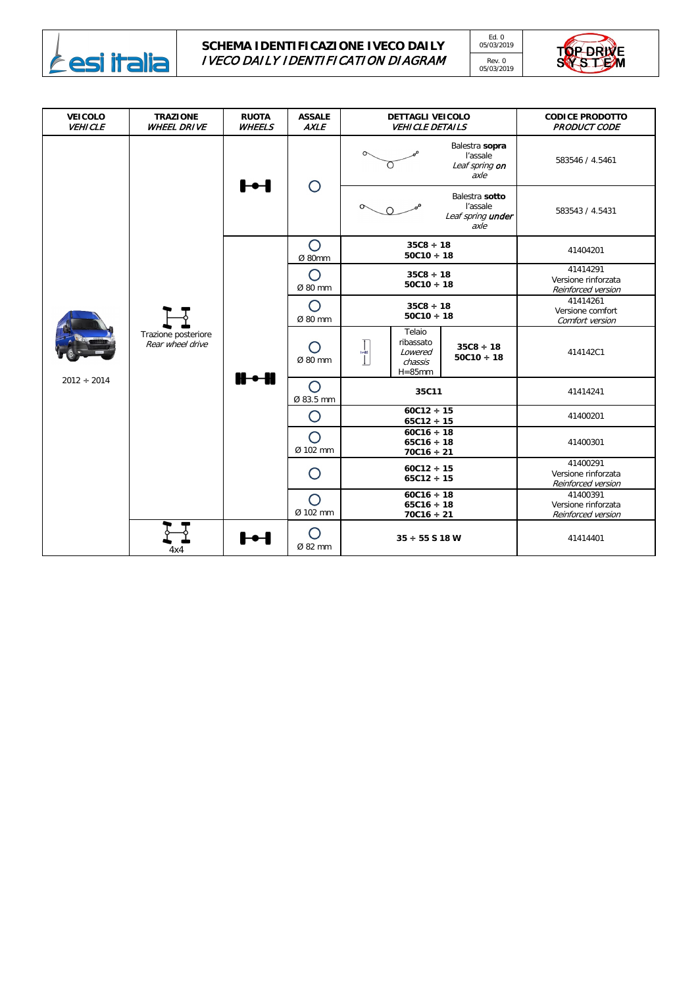

## **SCHEMA IDENTIFICAZIONE IVECO DAILY** IVECO DAILY IDENTIFICATION DIAGRAM

Ed. 0 05/03/2019

Rev. 0 05/03/2019



| <b>VEICOLO</b><br><b>VEHICLE</b> | <b>TRAZIONE</b><br><b>WHEEL DRIVE</b>   | <b>RUOTA</b><br><b>WHEELS</b> | <b>ASSALE</b><br><b>AXLE</b> | <b>DETTAGLI VEICOLO</b><br><b>VEHICLE DETAILS</b>                                                                                                          | <b>CODICE PRODOTTO</b><br><b>PRODUCT CODE</b>         |
|----------------------------------|-----------------------------------------|-------------------------------|------------------------------|------------------------------------------------------------------------------------------------------------------------------------------------------------|-------------------------------------------------------|
| $2012 \div 2014$                 | Trazione posteriore<br>Rear wheel drive | ŀН                            | $\bigcirc$                   | Balestra sopra<br>l'assale<br>Leaf spring on<br>axle                                                                                                       | 583546 / 4.5461                                       |
|                                  |                                         |                               |                              | Balestra sotto<br>l'assale<br>Leaf spring under<br>axle                                                                                                    | 583543 / 4.5431                                       |
|                                  |                                         | $H - H$                       | $\bigcirc$<br>Ø 80mm         | $35C8 \div 18$<br>$50C10 \div 18$                                                                                                                          | 41404201                                              |
|                                  |                                         |                               | $\bigcirc$<br>Ø 80 mm        | $35C8 \div 18$<br>$50C10 \div 18$                                                                                                                          | 41414291<br>Versione rinforzata<br>Reinforced version |
|                                  |                                         |                               | $\bigcap$<br>Ø 80 mm         | $35C8 \div 18$<br>$50C10 \div 18$                                                                                                                          | 41414261<br>Versione comfort<br>Comfort version       |
|                                  |                                         |                               | Ø 80 mm                      | Telaio<br>ribassato<br>$35C8 \div 18$<br>$\frac{1}{h=85}$<br>Lowered<br>$50C10 \div 18$<br>$\begin{array}{c} \hline \end{array}$<br>chassis<br>$H = 85$ mm | 414142C1                                              |
|                                  |                                         |                               | $\bigcirc$<br>Ø 83.5 mm      | 35C11                                                                                                                                                      | 41414241                                              |
|                                  |                                         |                               | $\bigcirc$                   | $60C12 \div 15$<br>$65C12 \div 15$                                                                                                                         | 41400201                                              |
|                                  |                                         |                               | $\bigcirc$<br>Ø 102 mm       | $60C16 \div 18$<br>$65C16 \div 18$<br>$70C16 \div 21$                                                                                                      | 41400301                                              |
|                                  |                                         |                               | O                            | $60C12 \div 15$<br>$65C12 \div 15$                                                                                                                         | 41400291<br>Versione rinforzata<br>Reinforced version |
|                                  |                                         |                               | $\bigcirc$<br>Ø 102 mm       | $60C16 \div 18$<br>$65C16 \div 18$<br>$70C16 \div 21$                                                                                                      | 41400391<br>Versione rinforzata<br>Reinforced version |
|                                  | 4x4                                     | ŀН                            | $\bigcap$<br>Ø 82 mm         | $35 \div 55$ S 18 W                                                                                                                                        | 41414401                                              |